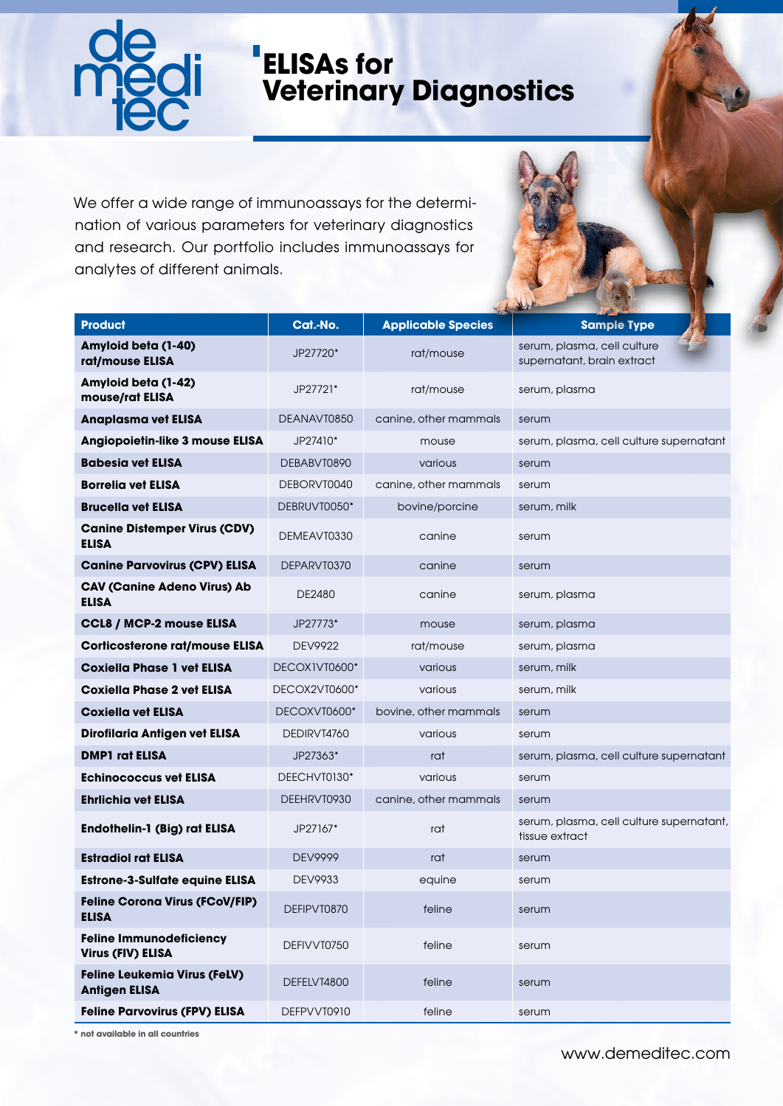

## **ELISAs for Veterinary Diagnostics**

We offer a wide range of immunoassays for the determination of various parameters for veterinary diagnostics and research. Our portfolio includes immunoassays for analytes of different animals.

| <b>Product</b>                                              | Cat.-No.       | <b>Applicable Species</b> | <b>Sample Type</b>                                         |
|-------------------------------------------------------------|----------------|---------------------------|------------------------------------------------------------|
| Amyloid beta (1-40)<br>rat/mouse ELISA                      | JP27720*       | rat/mouse                 | serum, plasma, cell culture<br>supernatant, brain extract  |
| Amyloid beta (1-42)<br>mouse/rat ELISA                      | JP27721*       | rat/mouse                 | serum, plasma                                              |
| <b>Anaplasma vet ELISA</b>                                  | DEANAVT0850    | canine, other mammals     | serum                                                      |
| Angiopoietin-like 3 mouse ELISA                             | JP27410*       | mouse                     | serum, plasma, cell culture supernatant                    |
| <b>Babesia vet ELISA</b>                                    | DEBABVT0890    | various                   | serum                                                      |
| <b>Borrelia vet ELISA</b>                                   | DEBORVT0040    | canine, other mammals     | serum                                                      |
| <b>Brucella vet ELISA</b>                                   | DEBRUVT0050*   | bovine/porcine            | serum, milk                                                |
| <b>Canine Distemper Virus (CDV)</b><br><b>ELISA</b>         | DEMEAVT0330    | canine                    | serum                                                      |
| <b>Canine Parvovirus (CPV) ELISA</b>                        | DEPARVT0370    | canine                    | serum                                                      |
| <b>CAV (Canine Adeno Virus) Ab</b><br><b>ELISA</b>          | DE2480         | canine                    | serum, plasma                                              |
| CCL8 / MCP-2 mouse ELISA                                    | JP27773*       | mouse                     | serum, plasma                                              |
| <b>Corticosterone rat/mouse ELISA</b>                       | <b>DEV9922</b> | rat/mouse                 | serum, plasma                                              |
| <b>Coxiella Phase 1 vet ELISA</b>                           | DECOXIVT0600*  | various                   | serum, milk                                                |
| <b>Coxiella Phase 2 vet ELISA</b>                           | DECOX2VT0600*  | various                   | serum, milk                                                |
| <b>Coxiella vet ELISA</b>                                   | DECOXVT0600*   | bovine, other mammals     | serum                                                      |
| Dirofilaria Antigen vet ELISA                               | DEDIRVT4760    | various                   | serum                                                      |
| <b>DMP1</b> rat ELISA                                       | JP27363*       | rat                       | serum, plasma, cell culture supernatant                    |
| <b>Echinococcus vet ELISA</b>                               | DEECHVT0130*   | various                   | serum                                                      |
| <b>Ehrlichia vet ELISA</b>                                  | DEEHRVT0930    | canine, other mammals     | serum                                                      |
| <b>Endothelin-1 (Big) rat ELISA</b>                         | JP27167*       | rat                       | serum, plasma, cell culture supernatant,<br>tissue extract |
| <b>Estradiol rat ELISA</b>                                  | DEV9999        | rat                       | serum                                                      |
| <b>Estrone-3-Sulfate equine ELISA</b>                       | DEV9933        | equine                    | serum                                                      |
| <b>Feline Corona Virus (FCoV/FIP)</b><br><b>ELISA</b>       | DEFIPVT0870    | feline                    | serum                                                      |
| <b>Feline Immunodeficiency</b><br>Virus (FIV) ELISA         | DEFIVVT0750    | feline                    | serum                                                      |
| <b>Feline Leukemia Virus (FeLV)</b><br><b>Antigen ELISA</b> | DEFELVT4800    | feline                    | serum                                                      |
| <b>Feline Parvovirus (FPV) ELISA</b>                        | DEFPVVT0910    | feline                    | serum                                                      |

**\* not available in all countries**